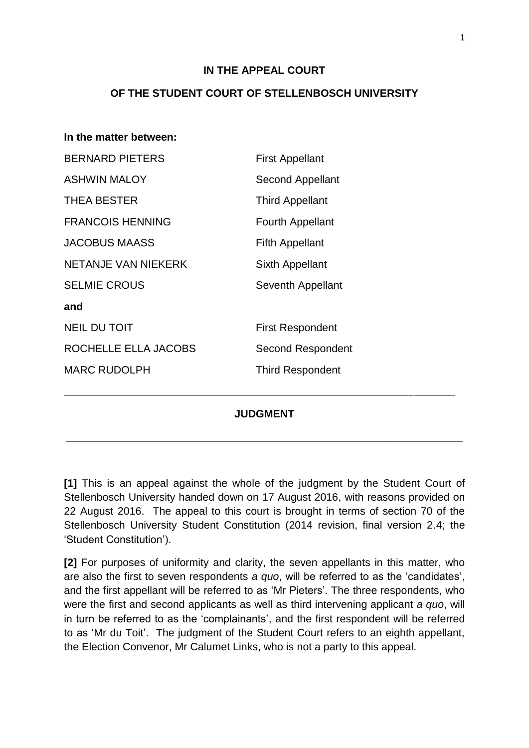#### **IN THE APPEAL COURT**

#### **OF THE STUDENT COURT OF STELLENBOSCH UNIVERSITY**

| In the matter between:  |                         |
|-------------------------|-------------------------|
| <b>BERNARD PIETERS</b>  | <b>First Appellant</b>  |
| <b>ASHWIN MALOY</b>     | <b>Second Appellant</b> |
| <b>THEA BESTER</b>      | <b>Third Appellant</b>  |
| <b>FRANCOIS HENNING</b> | <b>Fourth Appellant</b> |
| <b>JACOBUS MAASS</b>    | <b>Fifth Appellant</b>  |
| NETANJE VAN NIEKERK     | Sixth Appellant         |
| <b>SELMIE CROUS</b>     | Seventh Appellant       |
| and                     |                         |
| <b>NEIL DU TOIT</b>     | <b>First Respondent</b> |
| ROCHELLE ELLA JACOBS    | Second Respondent       |
| <b>MARC RUDOLPH</b>     | <b>Third Respondent</b> |
|                         |                         |
| <b>JUDGMENT</b>         |                         |
|                         |                         |

**[1]** This is an appeal against the whole of the judgment by the Student Court of Stellenbosch University handed down on 17 August 2016, with reasons provided on 22 August 2016. The appeal to this court is brought in terms of section 70 of the Stellenbosch University Student Constitution (2014 revision, final version 2.4; the 'Student Constitution').

**\_\_\_\_\_\_\_\_\_\_\_\_\_\_\_\_\_\_\_\_\_\_\_\_\_\_\_\_\_\_\_\_\_\_\_\_\_\_\_\_\_\_\_\_\_\_\_\_\_\_\_\_\_\_\_\_\_\_\_\_\_\_\_\_\_\_\_**

**[2]** For purposes of uniformity and clarity, the seven appellants in this matter, who are also the first to seven respondents *a quo*, will be referred to as the 'candidates', and the first appellant will be referred to as 'Mr Pieters'. The three respondents, who were the first and second applicants as well as third intervening applicant *a quo*, will in turn be referred to as the 'complainants', and the first respondent will be referred to as 'Mr du Toit'. The judgment of the Student Court refers to an eighth appellant, the Election Convenor, Mr Calumet Links, who is not a party to this appeal.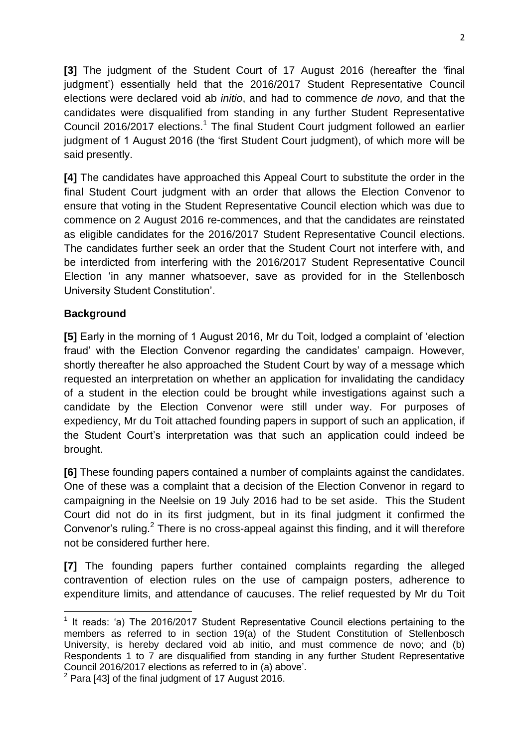**[3]** The judgment of the Student Court of 17 August 2016 (hereafter the 'final judgment') essentially held that the 2016/2017 Student Representative Council elections were declared void ab *initio*, and had to commence *de novo,* and that the candidates were disqualified from standing in any further Student Representative Council 2016/2017 elections.<sup>1</sup> The final Student Court judgment followed an earlier judgment of 1 August 2016 (the 'first Student Court judgment), of which more will be said presently.

**[4]** The candidates have approached this Appeal Court to substitute the order in the final Student Court judgment with an order that allows the Election Convenor to ensure that voting in the Student Representative Council election which was due to commence on 2 August 2016 re-commences, and that the candidates are reinstated as eligible candidates for the 2016/2017 Student Representative Council elections. The candidates further seek an order that the Student Court not interfere with, and be interdicted from interfering with the 2016/2017 Student Representative Council Election 'in any manner whatsoever, save as provided for in the Stellenbosch University Student Constitution'.

## **Background**

**[5]** Early in the morning of 1 August 2016, Mr du Toit, lodged a complaint of 'election fraud' with the Election Convenor regarding the candidates' campaign. However, shortly thereafter he also approached the Student Court by way of a message which requested an interpretation on whether an application for invalidating the candidacy of a student in the election could be brought while investigations against such a candidate by the Election Convenor were still under way. For purposes of expediency, Mr du Toit attached founding papers in support of such an application, if the Student Court's interpretation was that such an application could indeed be brought.

**[6]** These founding papers contained a number of complaints against the candidates. One of these was a complaint that a decision of the Election Convenor in regard to campaigning in the Neelsie on 19 July 2016 had to be set aside. This the Student Court did not do in its first judgment, but in its final judgment it confirmed the Convenor's ruling. $2$  There is no cross-appeal against this finding, and it will therefore not be considered further here.

**[7]** The founding papers further contained complaints regarding the alleged contravention of election rules on the use of campaign posters, adherence to expenditure limits, and attendance of caucuses. The relief requested by Mr du Toit

**<sup>.</sup>** <sup>1</sup> It reads: 'a) The 2016/2017 Student Representative Council elections pertaining to the members as referred to in section 19(a) of the Student Constitution of Stellenbosch University, is hereby declared void ab initio, and must commence de novo; and (b) Respondents 1 to 7 are disqualified from standing in any further Student Representative Council 2016/2017 elections as referred to in (a) above'.

 $2$  Para [43] of the final judgment of 17 August 2016.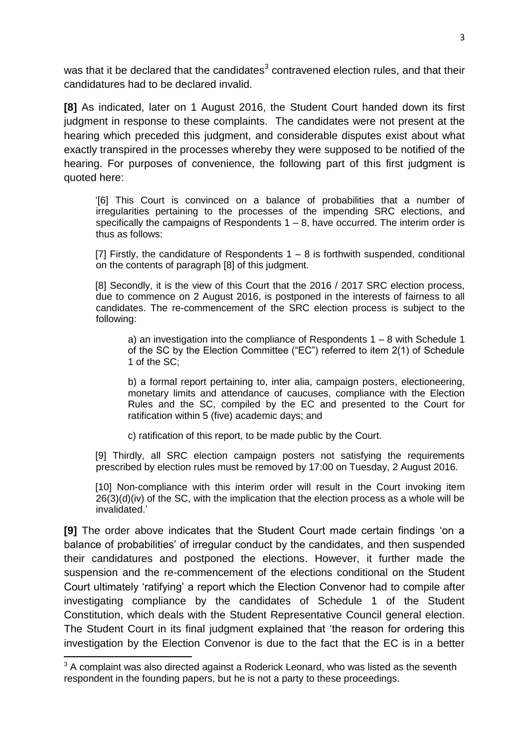was that it be declared that the candidates<sup>3</sup> contravened election rules, and that their candidatures had to be declared invalid.

**[8]** As indicated, later on 1 August 2016, the Student Court handed down its first judgment in response to these complaints. The candidates were not present at the hearing which preceded this judgment, and considerable disputes exist about what exactly transpired in the processes whereby they were supposed to be notified of the hearing. For purposes of convenience, the following part of this first judgment is quoted here:

'[6] This Court is convinced on a balance of probabilities that a number of irregularities pertaining to the processes of the impending SRC elections, and specifically the campaigns of Respondents  $1 - 8$ , have occurred. The interim order is thus as follows:

[7] Firstly, the candidature of Respondents  $1 - 8$  is forthwith suspended, conditional on the contents of paragraph [8] of this judgment.

[8] Secondly, it is the view of this Court that the 2016 / 2017 SRC election process, due to commence on 2 August 2016, is postponed in the interests of fairness to all candidates. The re-commencement of the SRC election process is subject to the following:

a) an investigation into the compliance of Respondents  $1 - 8$  with Schedule 1 of the SC by the Election Committee ("EC") referred to item 2(1) of Schedule 1 of the SC;

b) a formal report pertaining to, inter alia, campaign posters, electioneering, monetary limits and attendance of caucuses, compliance with the Election Rules and the SC, compiled by the EC and presented to the Court for ratification within 5 (five) academic days; and

c) ratification of this report, to be made public by the Court.

[9] Thirdly, all SRC election campaign posters not satisfying the requirements prescribed by election rules must be removed by 17:00 on Tuesday, 2 August 2016.

[10] Non-compliance with this interim order will result in the Court invoking item  $26(3)(d)(iv)$  of the SC, with the implication that the election process as a whole will be invalidated.'

**[9]** The order above indicates that the Student Court made certain findings 'on a balance of probabilities' of irregular conduct by the candidates, and then suspended their candidatures and postponed the elections. However, it further made the suspension and the re-commencement of the elections conditional on the Student Court ultimately 'ratifying' a report which the Election Convenor had to compile after investigating compliance by the candidates of Schedule 1 of the Student Constitution, which deals with the Student Representative Council general election. The Student Court in its final judgment explained that 'the reason for ordering this investigation by the Election Convenor is due to the fact that the EC is in a better

**.** 

 $3$  A complaint was also directed against a Roderick Leonard, who was listed as the seventh respondent in the founding papers, but he is not a party to these proceedings.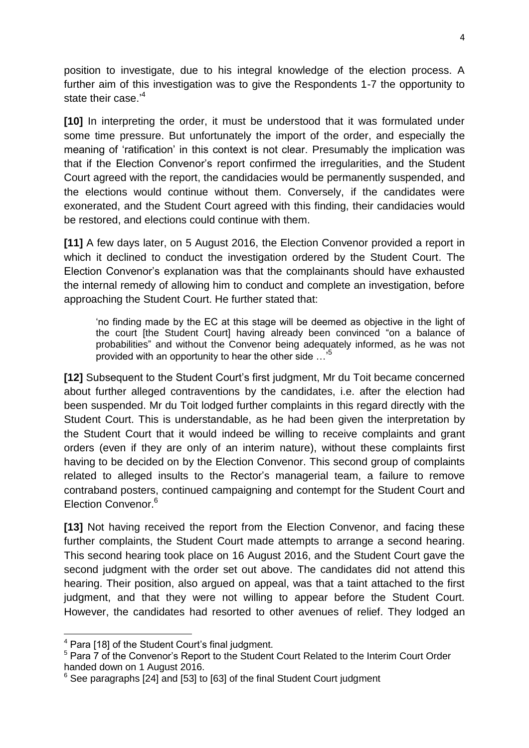position to investigate, due to his integral knowledge of the election process. A further aim of this investigation was to give the Respondents 1-7 the opportunity to state their case.<sup>4</sup>

**[10]** In interpreting the order, it must be understood that it was formulated under some time pressure. But unfortunately the import of the order, and especially the meaning of 'ratification' in this context is not clear. Presumably the implication was that if the Election Convenor's report confirmed the irregularities, and the Student Court agreed with the report, the candidacies would be permanently suspended, and the elections would continue without them. Conversely, if the candidates were exonerated, and the Student Court agreed with this finding, their candidacies would be restored, and elections could continue with them.

**[11]** A few days later, on 5 August 2016, the Election Convenor provided a report in which it declined to conduct the investigation ordered by the Student Court. The Election Convenor's explanation was that the complainants should have exhausted the internal remedy of allowing him to conduct and complete an investigation, before approaching the Student Court. He further stated that:

'no finding made by the EC at this stage will be deemed as objective in the light of the court [the Student Court] having already been convinced "on a balance of probabilities" and without the Convenor being adequately informed, as he was not provided with an opportunity to hear the other side ...<sup>5</sup>

**[12]** Subsequent to the Student Court's first judgment, Mr du Toit became concerned about further alleged contraventions by the candidates, i.e. after the election had been suspended. Mr du Toit lodged further complaints in this regard directly with the Student Court. This is understandable, as he had been given the interpretation by the Student Court that it would indeed be willing to receive complaints and grant orders (even if they are only of an interim nature), without these complaints first having to be decided on by the Election Convenor. This second group of complaints related to alleged insults to the Rector's managerial team, a failure to remove contraband posters, continued campaigning and contempt for the Student Court and Election Convenor.<sup>6</sup>

**[13]** Not having received the report from the Election Convenor, and facing these further complaints, the Student Court made attempts to arrange a second hearing. This second hearing took place on 16 August 2016, and the Student Court gave the second judgment with the order set out above. The candidates did not attend this hearing. Their position, also argued on appeal, was that a taint attached to the first judgment, and that they were not willing to appear before the Student Court. However, the candidates had resorted to other avenues of relief. They lodged an

1

<sup>4</sup> Para [18] of the Student Court's final judgment.

<sup>&</sup>lt;sup>5</sup> Para 7 of the Convenor's Report to the Student Court Related to the Interim Court Order handed down on 1 August 2016.

 $6$  See paragraphs [24] and [53] to [63] of the final Student Court judgment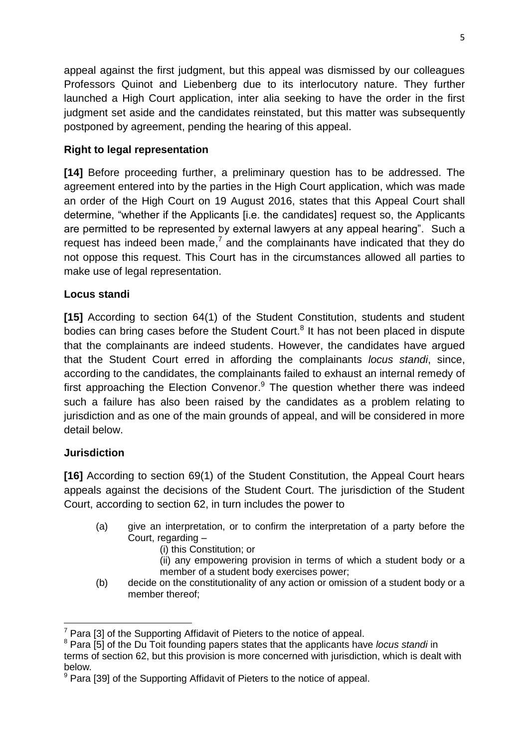appeal against the first judgment, but this appeal was dismissed by our colleagues Professors Quinot and Liebenberg due to its interlocutory nature. They further launched a High Court application, inter alia seeking to have the order in the first judgment set aside and the candidates reinstated, but this matter was subsequently postponed by agreement, pending the hearing of this appeal.

# **Right to legal representation**

**[14]** Before proceeding further, a preliminary question has to be addressed. The agreement entered into by the parties in the High Court application, which was made an order of the High Court on 19 August 2016, states that this Appeal Court shall determine, "whether if the Applicants [i.e. the candidates] request so, the Applicants are permitted to be represented by external lawyers at any appeal hearing". Such a request has indeed been made, $<sup>7</sup>$  and the complainants have indicated that they do</sup> not oppose this request. This Court has in the circumstances allowed all parties to make use of legal representation.

# **Locus standi**

**[15]** According to section 64(1) of the Student Constitution, students and student bodies can bring cases before the Student Court.<sup>8</sup> It has not been placed in dispute that the complainants are indeed students. However, the candidates have argued that the Student Court erred in affording the complainants *locus standi*, since, according to the candidates, the complainants failed to exhaust an internal remedy of first approaching the Election Convenor.<sup>9</sup> The question whether there was indeed such a failure has also been raised by the candidates as a problem relating to jurisdiction and as one of the main grounds of appeal, and will be considered in more detail below.

## **Jurisdiction**

**[16]** According to section 69(1) of the Student Constitution, the Appeal Court hears appeals against the decisions of the Student Court. The jurisdiction of the Student Court, according to section 62, in turn includes the power to

- (a) give an interpretation, or to confirm the interpretation of a party before the Court, regarding –
	- (i) this Constitution; or

(ii) any empowering provision in terms of which a student body or a member of a student body exercises power;

(b) decide on the constitutionality of any action or omission of a student body or a member thereof;

**<sup>.</sup>**  $7$  Para [3] of the Supporting Affidavit of Pieters to the notice of appeal.

<sup>8</sup> Para [5] of the Du Toit founding papers states that the applicants have *locus standi* in

terms of section 62, but this provision is more concerned with jurisdiction, which is dealt with below*.*

 $9$  Para [39] of the Supporting Affidavit of Pieters to the notice of appeal.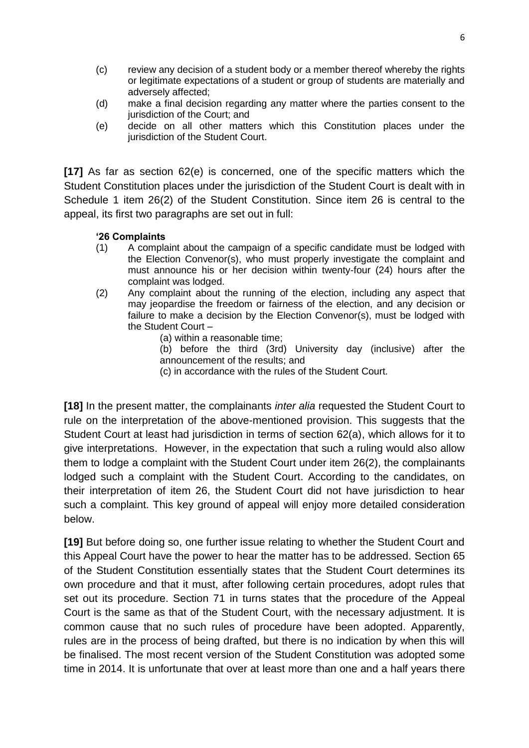- (c) review any decision of a student body or a member thereof whereby the rights or legitimate expectations of a student or group of students are materially and adversely affected;
- (d) make a final decision regarding any matter where the parties consent to the jurisdiction of the Court; and
- (e) decide on all other matters which this Constitution places under the jurisdiction of the Student Court.

**[17]** As far as section 62(e) is concerned, one of the specific matters which the Student Constitution places under the jurisdiction of the Student Court is dealt with in Schedule 1 item 26(2) of the Student Constitution. Since item 26 is central to the appeal, its first two paragraphs are set out in full:

#### **'26 Complaints**

- (1) A complaint about the campaign of a specific candidate must be lodged with the Election Convenor(s), who must properly investigate the complaint and must announce his or her decision within twenty-four (24) hours after the complaint was lodged.
- (2) Any complaint about the running of the election, including any aspect that may jeopardise the freedom or fairness of the election, and any decision or failure to make a decision by the Election Convenor(s), must be lodged with the Student Court –
	- (a) within a reasonable time;

(b) before the third (3rd) University day (inclusive) after the announcement of the results; and

(c) in accordance with the rules of the Student Court.

**[18]** In the present matter, the complainants *inter alia* requested the Student Court to rule on the interpretation of the above-mentioned provision. This suggests that the Student Court at least had jurisdiction in terms of section 62(a), which allows for it to give interpretations. However, in the expectation that such a ruling would also allow them to lodge a complaint with the Student Court under item 26(2), the complainants lodged such a complaint with the Student Court. According to the candidates, on their interpretation of item 26, the Student Court did not have jurisdiction to hear such a complaint. This key ground of appeal will enjoy more detailed consideration below.

**[19]** But before doing so, one further issue relating to whether the Student Court and this Appeal Court have the power to hear the matter has to be addressed. Section 65 of the Student Constitution essentially states that the Student Court determines its own procedure and that it must, after following certain procedures, adopt rules that set out its procedure. Section 71 in turns states that the procedure of the Appeal Court is the same as that of the Student Court, with the necessary adjustment. It is common cause that no such rules of procedure have been adopted. Apparently, rules are in the process of being drafted, but there is no indication by when this will be finalised. The most recent version of the Student Constitution was adopted some time in 2014. It is unfortunate that over at least more than one and a half years there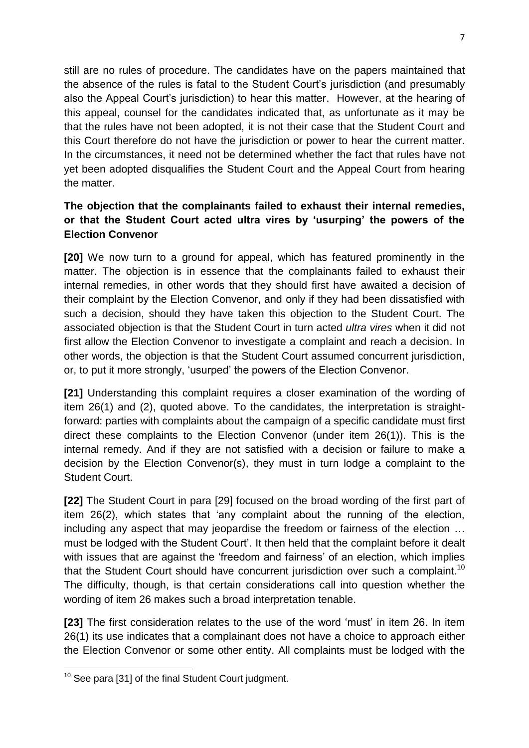still are no rules of procedure. The candidates have on the papers maintained that the absence of the rules is fatal to the Student Court's jurisdiction (and presumably also the Appeal Court's jurisdiction) to hear this matter. However, at the hearing of this appeal, counsel for the candidates indicated that, as unfortunate as it may be that the rules have not been adopted, it is not their case that the Student Court and this Court therefore do not have the jurisdiction or power to hear the current matter. In the circumstances, it need not be determined whether the fact that rules have not yet been adopted disqualifies the Student Court and the Appeal Court from hearing the matter.

# **The objection that the complainants failed to exhaust their internal remedies, or that the Student Court acted ultra vires by 'usurping' the powers of the Election Convenor**

**[20]** We now turn to a ground for appeal, which has featured prominently in the matter. The objection is in essence that the complainants failed to exhaust their internal remedies, in other words that they should first have awaited a decision of their complaint by the Election Convenor, and only if they had been dissatisfied with such a decision, should they have taken this objection to the Student Court. The associated objection is that the Student Court in turn acted *ultra vires* when it did not first allow the Election Convenor to investigate a complaint and reach a decision. In other words, the objection is that the Student Court assumed concurrent jurisdiction, or, to put it more strongly, 'usurped' the powers of the Election Convenor.

**[21]** Understanding this complaint requires a closer examination of the wording of item 26(1) and (2), quoted above. To the candidates, the interpretation is straightforward: parties with complaints about the campaign of a specific candidate must first direct these complaints to the Election Convenor (under item 26(1)). This is the internal remedy. And if they are not satisfied with a decision or failure to make a decision by the Election Convenor(s), they must in turn lodge a complaint to the Student Court.

**[22]** The Student Court in para [29] focused on the broad wording of the first part of item 26(2), which states that 'any complaint about the running of the election, including any aspect that may jeopardise the freedom or fairness of the election … must be lodged with the Student Court'. It then held that the complaint before it dealt with issues that are against the 'freedom and fairness' of an election, which implies that the Student Court should have concurrent jurisdiction over such a complaint.<sup>10</sup> The difficulty, though, is that certain considerations call into question whether the wording of item 26 makes such a broad interpretation tenable.

**[23]** The first consideration relates to the use of the word 'must' in item 26. In item 26(1) its use indicates that a complainant does not have a choice to approach either the Election Convenor or some other entity. All complaints must be lodged with the

**<sup>.</sup>**  $10$  See para [31] of the final Student Court judgment.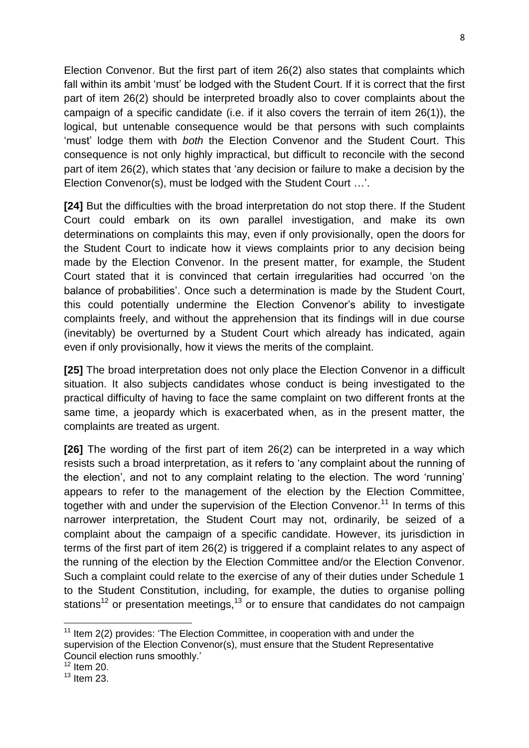Election Convenor. But the first part of item 26(2) also states that complaints which fall within its ambit 'must' be lodged with the Student Court. If it is correct that the first part of item 26(2) should be interpreted broadly also to cover complaints about the campaign of a specific candidate (i.e. if it also covers the terrain of item 26(1)), the logical, but untenable consequence would be that persons with such complaints 'must' lodge them with *both* the Election Convenor and the Student Court. This consequence is not only highly impractical, but difficult to reconcile with the second part of item 26(2), which states that 'any decision or failure to make a decision by the Election Convenor(s), must be lodged with the Student Court …'.

**[24]** But the difficulties with the broad interpretation do not stop there. If the Student Court could embark on its own parallel investigation, and make its own determinations on complaints this may, even if only provisionally, open the doors for the Student Court to indicate how it views complaints prior to any decision being made by the Election Convenor. In the present matter, for example, the Student Court stated that it is convinced that certain irregularities had occurred 'on the balance of probabilities'. Once such a determination is made by the Student Court, this could potentially undermine the Election Convenor's ability to investigate complaints freely, and without the apprehension that its findings will in due course (inevitably) be overturned by a Student Court which already has indicated, again even if only provisionally, how it views the merits of the complaint.

**[25]** The broad interpretation does not only place the Election Convenor in a difficult situation. It also subjects candidates whose conduct is being investigated to the practical difficulty of having to face the same complaint on two different fronts at the same time, a jeopardy which is exacerbated when, as in the present matter, the complaints are treated as urgent.

**[26]** The wording of the first part of item 26(2) can be interpreted in a way which resists such a broad interpretation, as it refers to 'any complaint about the running of the election', and not to any complaint relating to the election. The word 'running' appears to refer to the management of the election by the Election Committee, together with and under the supervision of the Election Convenor.<sup>11</sup> In terms of this narrower interpretation, the Student Court may not, ordinarily, be seized of a complaint about the campaign of a specific candidate. However, its jurisdiction in terms of the first part of item 26(2) is triggered if a complaint relates to any aspect of the running of the election by the Election Committee and/or the Election Convenor. Such a complaint could relate to the exercise of any of their duties under Schedule 1 to the Student Constitution, including, for example, the duties to organise polling stations<sup>12</sup> or presentation meetings,<sup>13</sup> or to ensure that candidates do not campaign

**.** 

 $11$  Item 2(2) provides: 'The Election Committee, in cooperation with and under the supervision of the Election Convenor(s), must ensure that the Student Representative Council election runs smoothly.'

 $12$  Item 20.

 $13$  Item 23.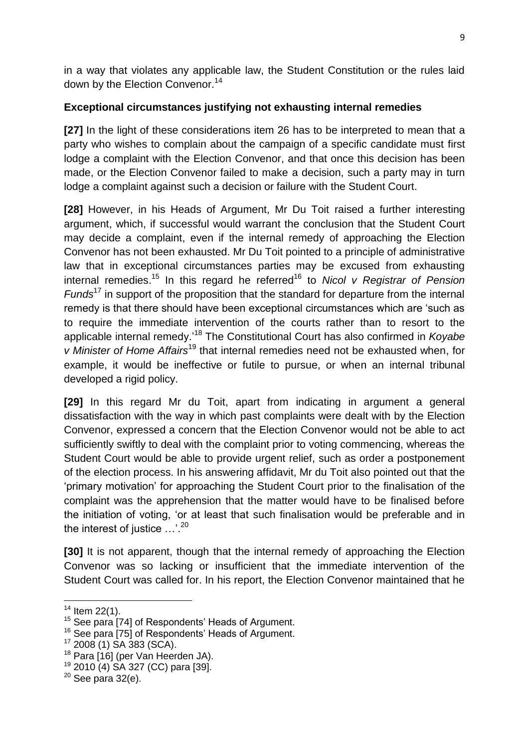in a way that violates any applicable law, the Student Constitution or the rules laid down by the Election Convenor.<sup>14</sup>

## **Exceptional circumstances justifying not exhausting internal remedies**

**[27]** In the light of these considerations item 26 has to be interpreted to mean that a party who wishes to complain about the campaign of a specific candidate must first lodge a complaint with the Election Convenor, and that once this decision has been made, or the Election Convenor failed to make a decision, such a party may in turn lodge a complaint against such a decision or failure with the Student Court.

**[28]** However, in his Heads of Argument, Mr Du Toit raised a further interesting argument, which, if successful would warrant the conclusion that the Student Court may decide a complaint, even if the internal remedy of approaching the Election Convenor has not been exhausted. Mr Du Toit pointed to a principle of administrative law that in exceptional circumstances parties may be excused from exhausting internal remedies.<sup>15</sup> In this regard he referred<sup>16</sup> to *Nicol v Registrar of Pension Funds*<sup>17</sup> in support of the proposition that the standard for departure from the internal remedy is that there should have been exceptional circumstances which are 'such as to require the immediate intervention of the courts rather than to resort to the applicable internal remedy.'<sup>18</sup> The Constitutional Court has also confirmed in *Koyabe v Minister of Home Affairs*<sup>19</sup> that internal remedies need not be exhausted when, for example, it would be ineffective or futile to pursue, or when an internal tribunal developed a rigid policy.

**[29]** In this regard Mr du Toit, apart from indicating in argument a general dissatisfaction with the way in which past complaints were dealt with by the Election Convenor, expressed a concern that the Election Convenor would not be able to act sufficiently swiftly to deal with the complaint prior to voting commencing, whereas the Student Court would be able to provide urgent relief, such as order a postponement of the election process. In his answering affidavit, Mr du Toit also pointed out that the 'primary motivation' for approaching the Student Court prior to the finalisation of the complaint was the apprehension that the matter would have to be finalised before the initiation of voting, 'or at least that such finalisation would be preferable and in the interest of justice  $\ldots$ <sup>20</sup>

**[30]** It is not apparent, though that the internal remedy of approaching the Election Convenor was so lacking or insufficient that the immediate intervention of the Student Court was called for. In his report, the Election Convenor maintained that he

1

 $14$  Item 22(1).

<sup>&</sup>lt;sup>15</sup> See para [74] of Respondents' Heads of Argument.

<sup>&</sup>lt;sup>16</sup> See para [75] of Respondents' Heads of Argument.

<sup>17</sup> 2008 (1) SA 383 (SCA).

<sup>&</sup>lt;sup>18</sup> Para [16] (per Van Heerden JA).

<sup>19</sup> 2010 (4) SA 327 (CC) para [39].

 $20$  See para 32(e).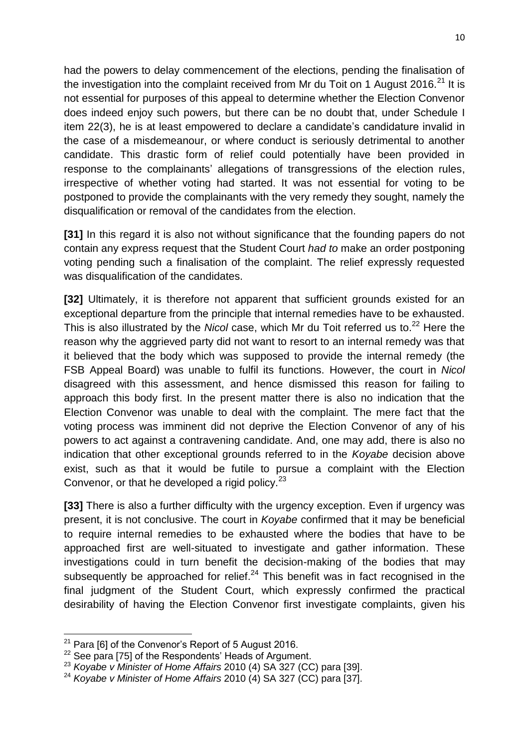had the powers to delay commencement of the elections, pending the finalisation of the investigation into the complaint received from Mr du Toit on 1 August 2016.<sup>21</sup> It is not essential for purposes of this appeal to determine whether the Election Convenor does indeed enjoy such powers, but there can be no doubt that, under Schedule I item 22(3), he is at least empowered to declare a candidate's candidature invalid in the case of a misdemeanour, or where conduct is seriously detrimental to another candidate. This drastic form of relief could potentially have been provided in response to the complainants' allegations of transgressions of the election rules, irrespective of whether voting had started. It was not essential for voting to be postponed to provide the complainants with the very remedy they sought, namely the disqualification or removal of the candidates from the election.

**[31]** In this regard it is also not without significance that the founding papers do not contain any express request that the Student Court *had to* make an order postponing voting pending such a finalisation of the complaint. The relief expressly requested was disqualification of the candidates.

**[32]** Ultimately, it is therefore not apparent that sufficient grounds existed for an exceptional departure from the principle that internal remedies have to be exhausted. This is also illustrated by the *Nicol* case, which Mr du Toit referred us to.<sup>22</sup> Here the reason why the aggrieved party did not want to resort to an internal remedy was that it believed that the body which was supposed to provide the internal remedy (the FSB Appeal Board) was unable to fulfil its functions. However, the court in *Nicol*  disagreed with this assessment, and hence dismissed this reason for failing to approach this body first. In the present matter there is also no indication that the Election Convenor was unable to deal with the complaint. The mere fact that the voting process was imminent did not deprive the Election Convenor of any of his powers to act against a contravening candidate. And, one may add, there is also no indication that other exceptional grounds referred to in the *Koyabe* decision above exist, such as that it would be futile to pursue a complaint with the Election Convenor, or that he developed a rigid policy. $23$ 

**[33]** There is also a further difficulty with the urgency exception. Even if urgency was present, it is not conclusive. The court in *Koyabe* confirmed that it may be beneficial to require internal remedies to be exhausted where the bodies that have to be approached first are well-situated to investigate and gather information. These investigations could in turn benefit the decision-making of the bodies that may subsequently be approached for relief. $24$  This benefit was in fact recognised in the final judgment of the Student Court, which expressly confirmed the practical desirability of having the Election Convenor first investigate complaints, given his

1

 $21$  Para [6] of the Convenor's Report of 5 August 2016.

<sup>&</sup>lt;sup>22</sup> See para [75] of the Respondents' Heads of Argument.

<sup>23</sup> *Koyabe v Minister of Home Affairs* 2010 (4) SA 327 (CC) para [39].

<sup>24</sup> *Koyabe v Minister of Home Affairs* 2010 (4) SA 327 (CC) para [37].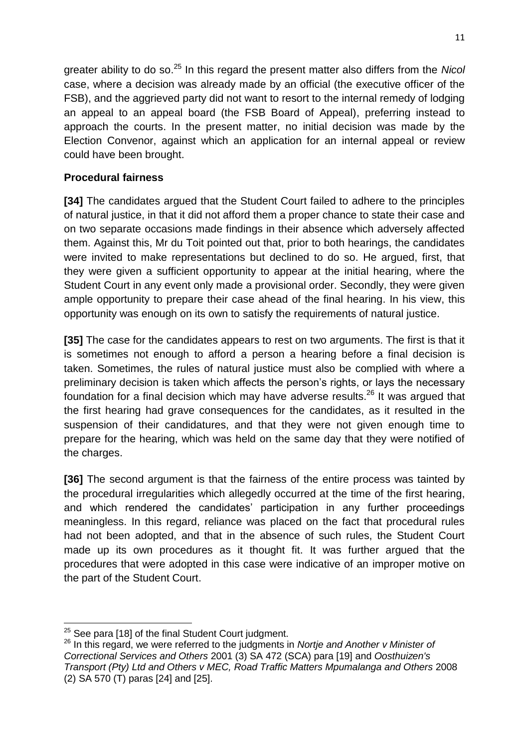greater ability to do so. <sup>25</sup> In this regard the present matter also differs from the *Nicol* case, where a decision was already made by an official (the executive officer of the FSB), and the aggrieved party did not want to resort to the internal remedy of lodging an appeal to an appeal board (the FSB Board of Appeal), preferring instead to approach the courts. In the present matter, no initial decision was made by the Election Convenor, against which an application for an internal appeal or review could have been brought.

## **Procedural fairness**

**[34]** The candidates argued that the Student Court failed to adhere to the principles of natural justice, in that it did not afford them a proper chance to state their case and on two separate occasions made findings in their absence which adversely affected them. Against this, Mr du Toit pointed out that, prior to both hearings, the candidates were invited to make representations but declined to do so. He argued, first, that they were given a sufficient opportunity to appear at the initial hearing, where the Student Court in any event only made a provisional order. Secondly, they were given ample opportunity to prepare their case ahead of the final hearing. In his view, this opportunity was enough on its own to satisfy the requirements of natural justice.

**[35]** The case for the candidates appears to rest on two arguments. The first is that it is sometimes not enough to afford a person a hearing before a final decision is taken. Sometimes, the rules of natural justice must also be complied with where a preliminary decision is taken which affects the person's rights, or lays the necessary foundation for a final decision which may have adverse results.<sup>26</sup> It was arqued that the first hearing had grave consequences for the candidates, as it resulted in the suspension of their candidatures, and that they were not given enough time to prepare for the hearing, which was held on the same day that they were notified of the charges.

**[36]** The second argument is that the fairness of the entire process was tainted by the procedural irregularities which allegedly occurred at the time of the first hearing, and which rendered the candidates' participation in any further proceedings meaningless. In this regard, reliance was placed on the fact that procedural rules had not been adopted, and that in the absence of such rules, the Student Court made up its own procedures as it thought fit. It was further argued that the procedures that were adopted in this case were indicative of an improper motive on the part of the Student Court.

**<sup>.</sup>**  $25$  See para [18] of the final Student Court judgment.

<sup>26</sup> In this regard, we were referred to the judgments in *Nortje and Another v Minister of Correctional Services and Others* 2001 (3) SA 472 (SCA) para [19] and *Oosthuizen's Transport (Pty) Ltd and Others v MEC, Road Traffic Matters Mpumalanga and Others* 2008 (2) SA 570 (T) paras [24] and [25].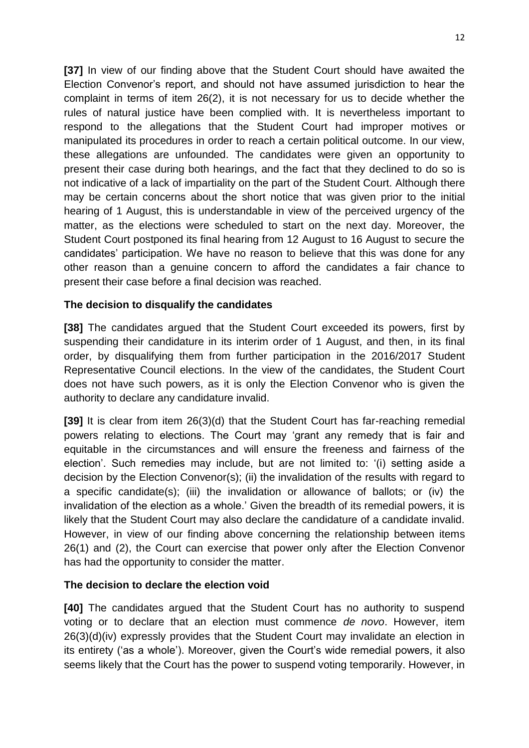**[37]** In view of our finding above that the Student Court should have awaited the Election Convenor's report, and should not have assumed jurisdiction to hear the complaint in terms of item 26(2), it is not necessary for us to decide whether the rules of natural justice have been complied with. It is nevertheless important to respond to the allegations that the Student Court had improper motives or manipulated its procedures in order to reach a certain political outcome. In our view, these allegations are unfounded. The candidates were given an opportunity to present their case during both hearings, and the fact that they declined to do so is not indicative of a lack of impartiality on the part of the Student Court. Although there may be certain concerns about the short notice that was given prior to the initial hearing of 1 August, this is understandable in view of the perceived urgency of the matter, as the elections were scheduled to start on the next day. Moreover, the Student Court postponed its final hearing from 12 August to 16 August to secure the candidates' participation. We have no reason to believe that this was done for any other reason than a genuine concern to afford the candidates a fair chance to present their case before a final decision was reached.

#### **The decision to disqualify the candidates**

**[38]** The candidates argued that the Student Court exceeded its powers, first by suspending their candidature in its interim order of 1 August, and then, in its final order, by disqualifying them from further participation in the 2016/2017 Student Representative Council elections. In the view of the candidates, the Student Court does not have such powers, as it is only the Election Convenor who is given the authority to declare any candidature invalid.

**[39]** It is clear from item 26(3)(d) that the Student Court has far-reaching remedial powers relating to elections. The Court may 'grant any remedy that is fair and equitable in the circumstances and will ensure the freeness and fairness of the election'. Such remedies may include, but are not limited to: '(i) setting aside a decision by the Election Convenor(s); (ii) the invalidation of the results with regard to a specific candidate(s); (iii) the invalidation or allowance of ballots; or (iv) the invalidation of the election as a whole.' Given the breadth of its remedial powers, it is likely that the Student Court may also declare the candidature of a candidate invalid. However, in view of our finding above concerning the relationship between items 26(1) and (2), the Court can exercise that power only after the Election Convenor has had the opportunity to consider the matter.

#### **The decision to declare the election void**

**[40]** The candidates argued that the Student Court has no authority to suspend voting or to declare that an election must commence *de novo*. However, item 26(3)(d)(iv) expressly provides that the Student Court may invalidate an election in its entirety ('as a whole'). Moreover, given the Court's wide remedial powers, it also seems likely that the Court has the power to suspend voting temporarily. However, in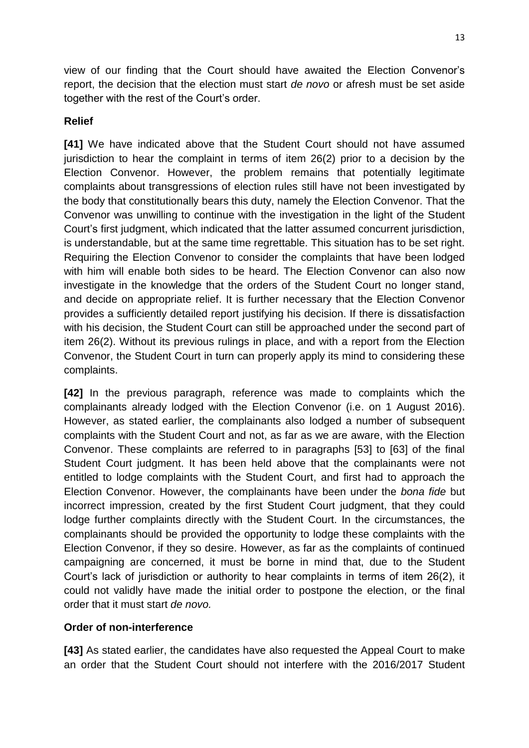view of our finding that the Court should have awaited the Election Convenor's report, the decision that the election must start *de novo* or afresh must be set aside together with the rest of the Court's order.

## **Relief**

**[41]** We have indicated above that the Student Court should not have assumed jurisdiction to hear the complaint in terms of item 26(2) prior to a decision by the Election Convenor. However, the problem remains that potentially legitimate complaints about transgressions of election rules still have not been investigated by the body that constitutionally bears this duty, namely the Election Convenor. That the Convenor was unwilling to continue with the investigation in the light of the Student Court's first judgment, which indicated that the latter assumed concurrent jurisdiction, is understandable, but at the same time regrettable. This situation has to be set right. Requiring the Election Convenor to consider the complaints that have been lodged with him will enable both sides to be heard. The Election Convenor can also now investigate in the knowledge that the orders of the Student Court no longer stand, and decide on appropriate relief. It is further necessary that the Election Convenor provides a sufficiently detailed report justifying his decision. If there is dissatisfaction with his decision, the Student Court can still be approached under the second part of item 26(2). Without its previous rulings in place, and with a report from the Election Convenor, the Student Court in turn can properly apply its mind to considering these complaints.

**[42]** In the previous paragraph, reference was made to complaints which the complainants already lodged with the Election Convenor (i.e. on 1 August 2016). However, as stated earlier, the complainants also lodged a number of subsequent complaints with the Student Court and not, as far as we are aware, with the Election Convenor. These complaints are referred to in paragraphs [53] to [63] of the final Student Court judgment. It has been held above that the complainants were not entitled to lodge complaints with the Student Court, and first had to approach the Election Convenor. However, the complainants have been under the *bona fide* but incorrect impression, created by the first Student Court judgment, that they could lodge further complaints directly with the Student Court. In the circumstances, the complainants should be provided the opportunity to lodge these complaints with the Election Convenor, if they so desire. However, as far as the complaints of continued campaigning are concerned, it must be borne in mind that, due to the Student Court's lack of jurisdiction or authority to hear complaints in terms of item 26(2), it could not validly have made the initial order to postpone the election, or the final order that it must start *de novo.*

#### **Order of non-interference**

**[43]** As stated earlier, the candidates have also requested the Appeal Court to make an order that the Student Court should not interfere with the 2016/2017 Student